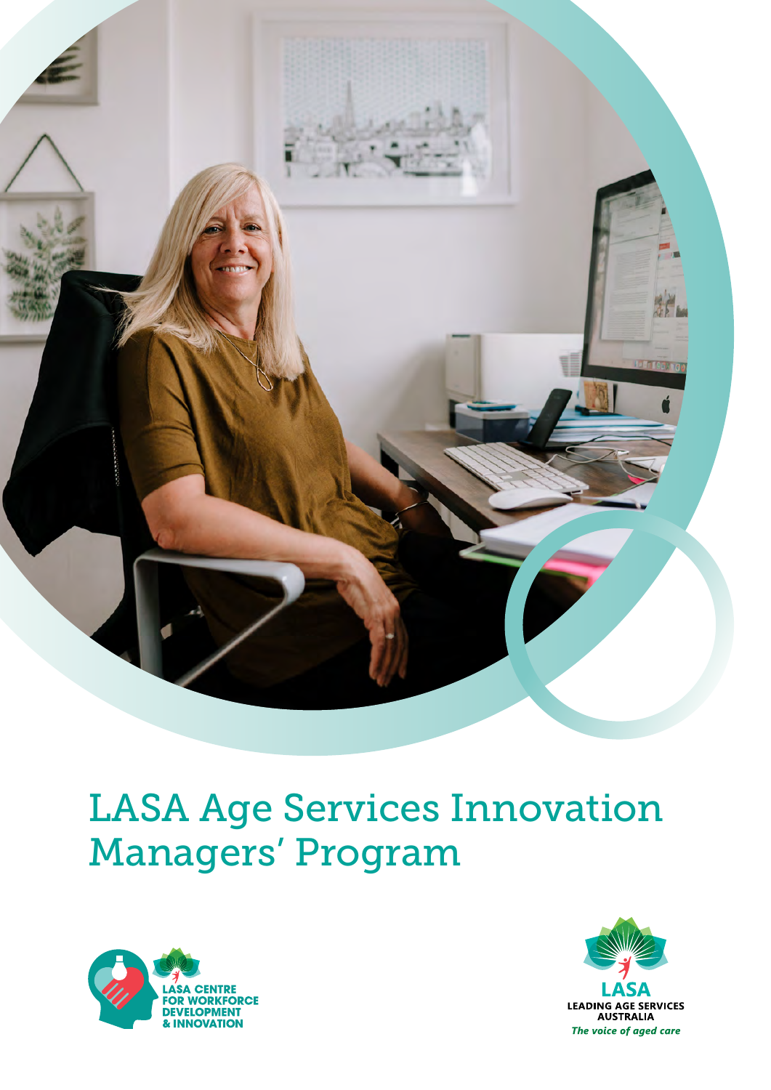

## LASA Age Services Innovation Managers' Program



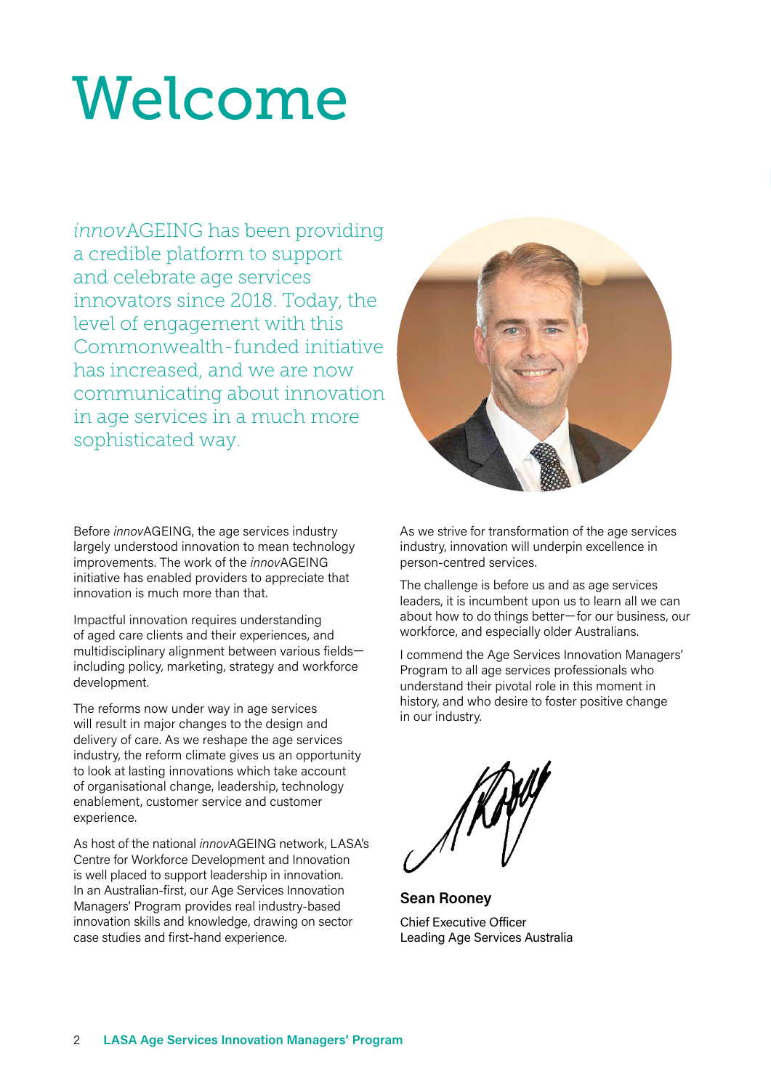# Welcome

*innov*AGEING has been providing a credible platform to support and celebrate age services innovators since 2018. Today, the level of engagement with this Commonwealth-funded initiative has increased, and we are now communicating about innovation in age services in a much more sophisticated way.

Before *innov*AGEING, the age services industry largely understood innovation to mean technology improvements. The work of the *innov*AGEING initiative has enabled providers to appreciate that innovation is much more than that.

Impactful innovation requires understanding of aged care clients and their experiences, and multidisciplinary alignment between various fields including policy, marketing, strategy and workforce development.

The reforms now under way in age services will result in major changes to the design and delivery of care. As we reshape the age services industry, the reform climate gives us an opportunity to look at lasting innovations which take account of organisational change, leadership, technology enablement, customer service and customer experience.

As host of the national *innovAGEING* network, I ASA's Centre for Workforce Development and Innovation is well placed to support leadership in innovation. In an Australian-first, our Age Services Innovation Managers' Program provides real industry-based innovation skills and knowledge, drawing on sector case studies and first-hand experience.



As we strive for transformation of the age services industry, innovation will underpin excellence in person-centred services.

The challenge is before us and as age services leaders, it is incumbent upon us to learn all we can about how to do things better—for our business, our workforce, and especially older Australians.

I commend the Age Services Innovation Managers' Program to all age services professionals who understand their pivotal role in this moment in history, and who desire to foster positive change in our industry.

**Sean Rooney** Chief Executive Officer Leading Age Services Australia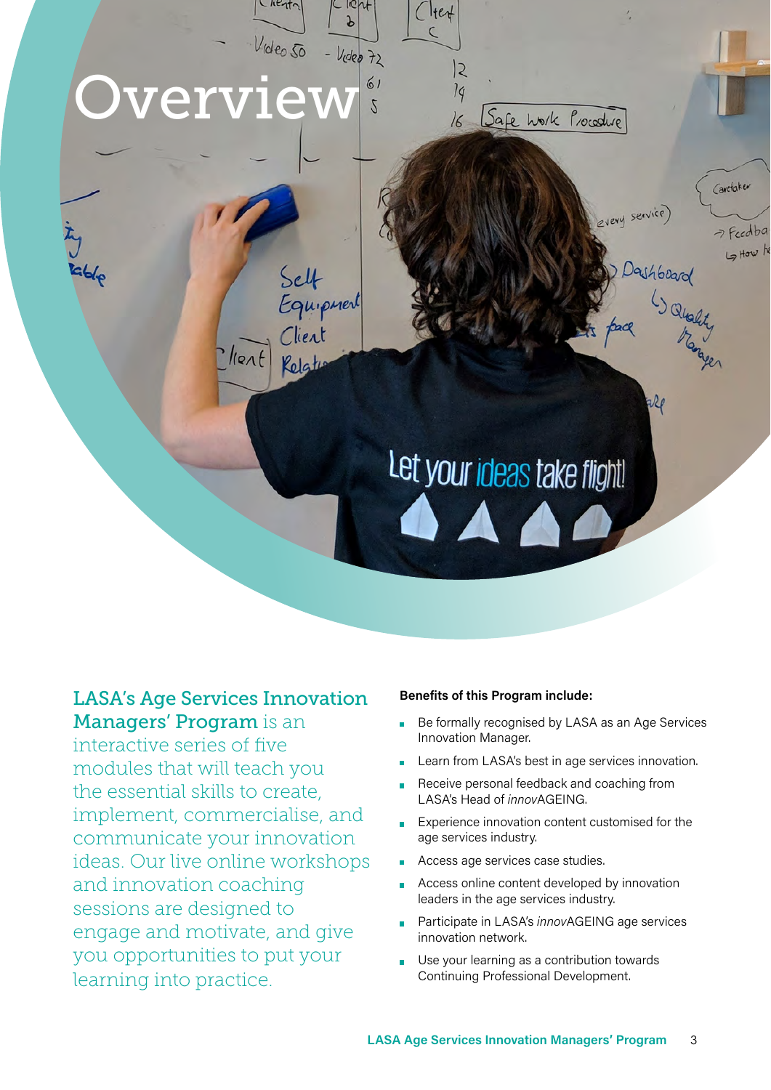

#### LASA's Age Services Innovation Managers' Program is an

interactive series of five modules that will teach you the essential skills to create, implement, commercialise, and communicate your innovation ideas. Our live online workshops and innovation coaching sessions are designed to engage and motivate, and give you opportunities to put your learning into practice.

#### **Benefits of this Program include:**

- Be formally recognised by LASA as an Age Services Innovation Manager.
- Learn from LASA's best in age services innovation.
- Receive personal feedback and coaching from LASA's Head of *innov*AGEING.
- Experience innovation content customised for the age services industry.
- Access age services case studies.
- Access online content developed by innovation leaders in the age services industry.
- Participate in LASA's *innov*AGEING age services innovation network.
- Use your learning as a contribution towards Continuing Professional Development.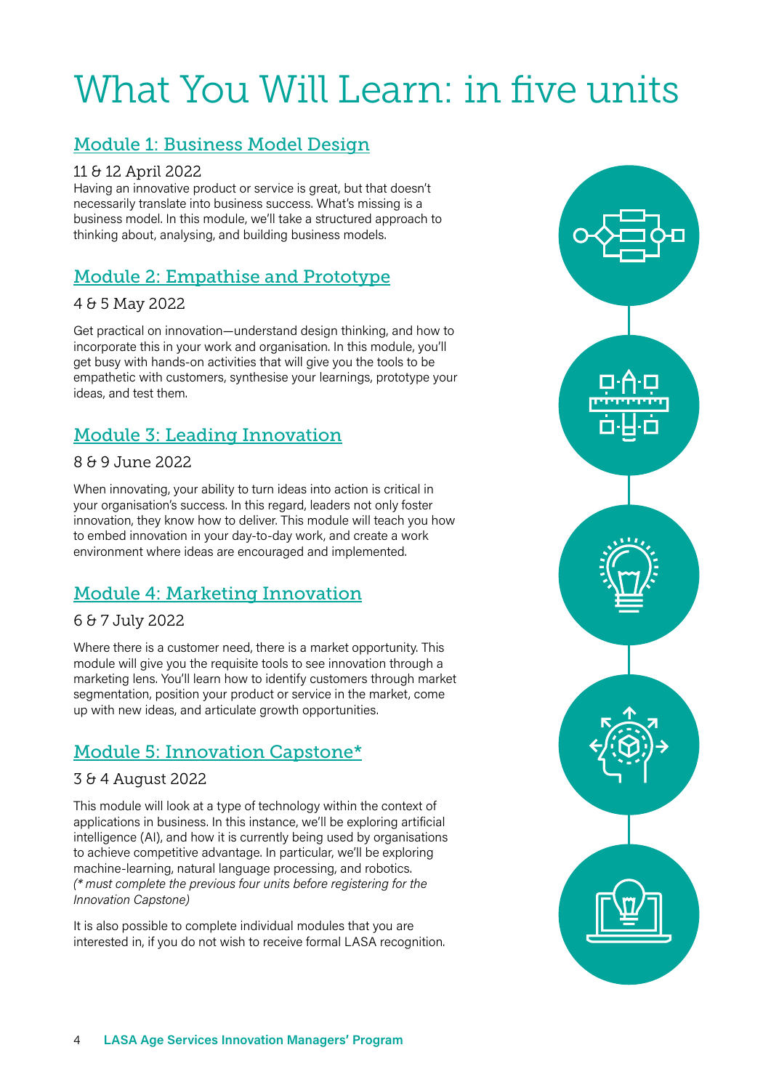## What You Will Learn: in five units

#### Module 1: Business Model Design

#### 11 & 12 April 2022

Having an innovative product or service is great, but that doesn't necessarily translate into business success. What's missing is a business model. In this module, we'll take a structured approach to thinking about, analysing, and building business models.

#### Module 2: Empathise and Prototype

#### 4 & 5 May 2022

Get practical on innovation—understand design thinking, and how to incorporate this in your work and organisation. In this module, you'll get busy with hands-on activities that will give you the tools to be empathetic with customers, synthesise your learnings, prototype your ideas, and test them.

#### Module 3: Leading Innovation

#### 8 & 9 June 2022

When innovating, your ability to turn ideas into action is critical in your organisation's success. In this regard, leaders not only foster innovation, they know how to deliver. This module will teach you how to embed innovation in your day-to-day work, and create a work environment where ideas are encouraged and implemented.

#### Module 4: Marketing Innovation

#### 6 & 7 July 2022

Where there is a customer need, there is a market opportunity. This module will give you the requisite tools to see innovation through a marketing lens. You'll learn how to identify customers through market segmentation, position your product or service in the market, come up with new ideas, and articulate growth opportunities.

#### Module 5: Innovation Capstone\*

#### 3 & 4 August 2022

This module will look at a type of technology within the context of applications in business. In this instance, we'll be exploring artificial intelligence (AI), and how it is currently being used by organisations to achieve competitive advantage. In particular, we'll be exploring machine-learning, natural language processing, and robotics. *(\* must complete the previous four units before registering for the Innovation Capstone)*

It is also possible to complete individual modules that you are interested in, if you do not wish to receive formal LASA recognition.

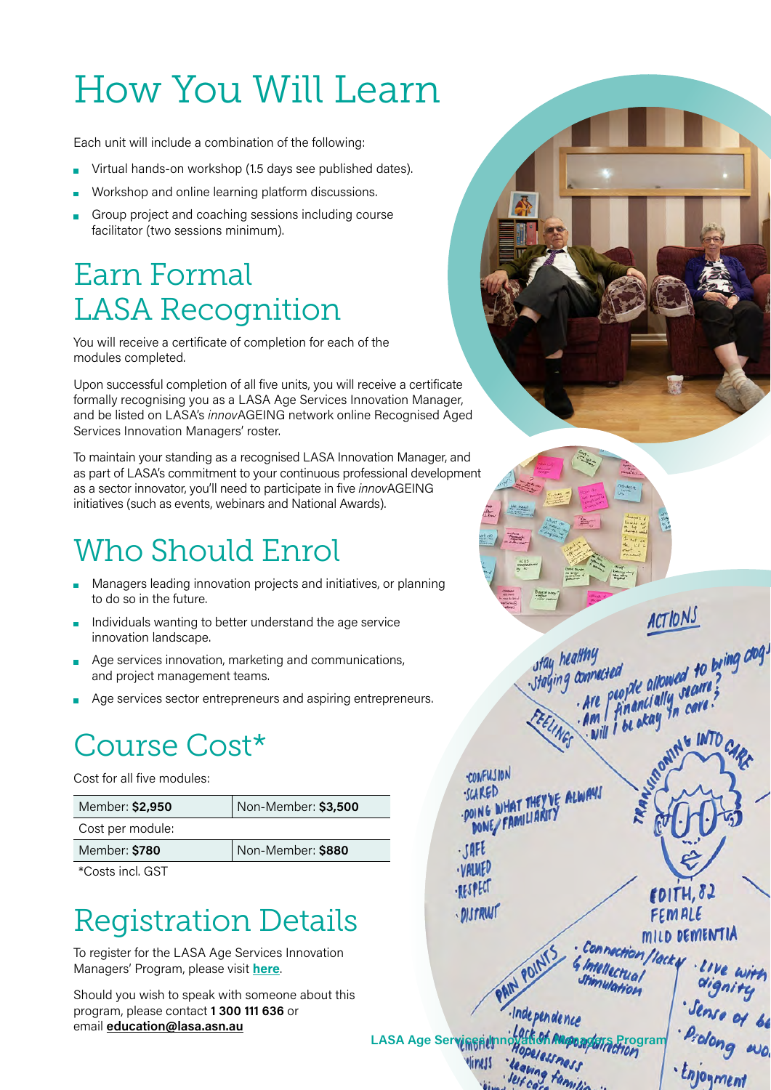## How You Will Learn

Each unit will include a combination of the following:

- Virtual hands-on workshop (1.5 days see published dates).
- Workshop and online learning platform discussions.
- Group project and coaching sessions including course  $\blacksquare$ facilitator (two sessions minimum).

### Earn Formal LASA Recognition

You will receive a certificate of completion for each of the modules completed.

Upon successful completion of all five units, you will receive a certificate formally recognising you as a LASA Age Services Innovation Manager, and be listed on LASA's *innov*AGEING network online Recognised Aged Services Innovation Managers' roster.

To maintain your standing as a recognised LASA Innovation Manager, and as part of LASA's commitment to your continuous professional development as a sector innovator, you'll need to participate in five *innov*AGEING initiatives (such as events, webinars and National Awards).

## Who Should Enrol

- Managers leading innovation projects and initiatives, or planning to do so in the future.
- Individuals wanting to better understand the age service innovation landscape.
- Age services innovation, marketing and communications, and project management teams.
- Age services sector entrepreneurs and aspiring entrepreneurs.

## Course Cost\*

Cost for all five modules:

| Member: \$2,950  | Non-Member: \$3,500 |
|------------------|---------------------|
| Cost per module: |                     |
| Member: \$780    | Non-Member: \$880   |

\*Costs incl. GST

### Registration Details

To register for the LASA Age Services Innovation Managers' Program, please visit **[here](https://lasa.eventsair.com/lasa-age-services-innovation-managers-program/registration/Site/Register)**.

Should you wish to speak with someone about this program, please contact **1 300 111 636** or email **[education@lasa.asn.au](mailto:education%40lasa.asn.au?subject=)**



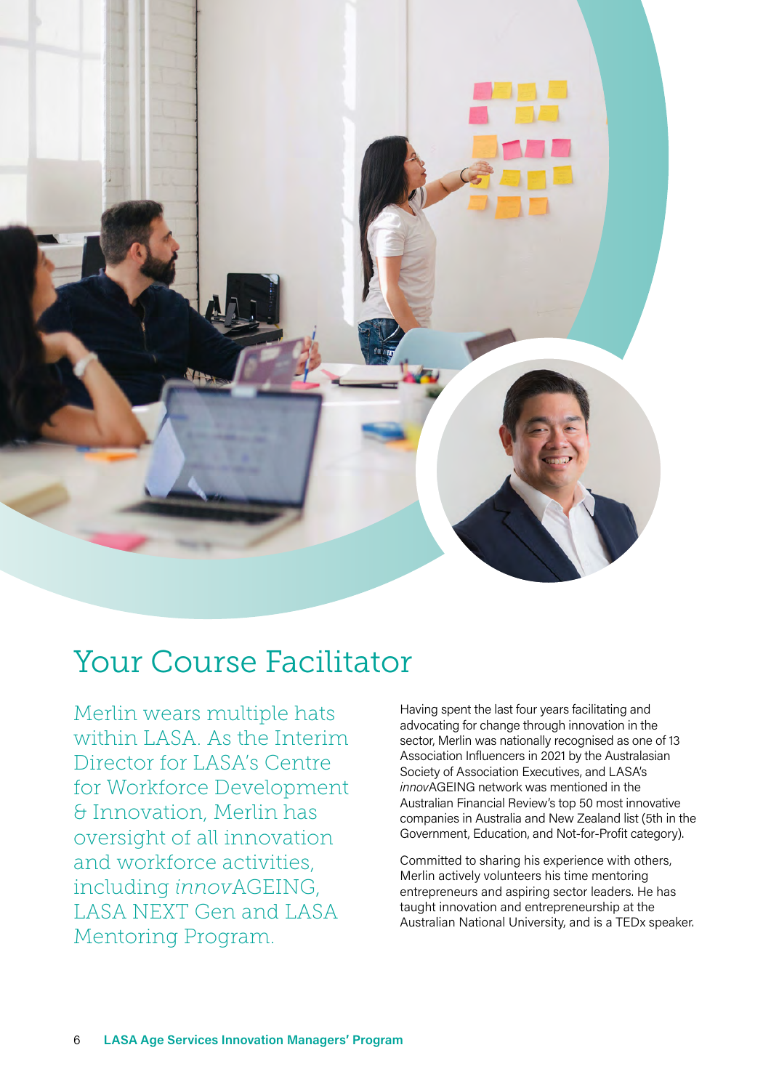

### Your Course Facilitator

Merlin wears multiple hats within LASA. As the Interim Director for LASA's Centre for Workforce Development & Innovation, Merlin has oversight of all innovation and workforce activities, including *innov*AGEING, LASA NEXT Gen and LASA Mentoring Program.

Having spent the last four years facilitating and advocating for change through innovation in the sector, Merlin was nationally recognised as one of 13 Association Influencers in 2021 by the Australasian Society of Association Executives, and LASA's *innov*AGEING network was mentioned in the Australian Financial Review's top 50 most innovative companies in Australia and New Zealand list (5th in the Government, Education, and Not-for-Profit category).

Committed to sharing his experience with others, Merlin actively volunteers his time mentoring entrepreneurs and aspiring sector leaders. He has taught innovation and entrepreneurship at the Australian National University, and is a TEDx speaker.